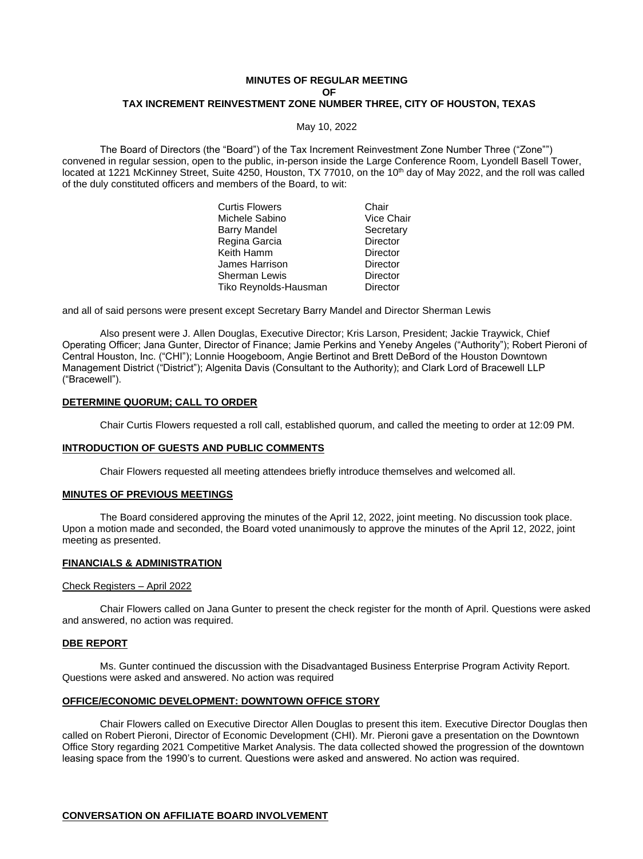# **MINUTES OF REGULAR MEETING OF TAX INCREMENT REINVESTMENT ZONE NUMBER THREE, CITY OF HOUSTON, TEXAS**

May 10, 2022

The Board of Directors (the "Board") of the Tax Increment Reinvestment Zone Number Three ("Zone"") convened in regular session, open to the public, in-person inside the Large Conference Room, Lyondell Basell Tower, located at 1221 McKinney Street, Suite 4250, Houston, TX 77010, on the 10<sup>th</sup> day of May 2022, and the roll was called of the duly constituted officers and members of the Board, to wit:

| Curtis Flowers        | Chair           |
|-----------------------|-----------------|
| Michele Sabino        | Vice Chair      |
| Barry Mandel          | Secretary       |
| Regina Garcia         | <b>Director</b> |
| Keith Hamm            | Director        |
| James Harrison        | Director        |
| Sherman Lewis         | Director        |
| Tiko Reynolds-Hausman | Director        |
|                       |                 |

and all of said persons were present except Secretary Barry Mandel and Director Sherman Lewis

Also present were J. Allen Douglas, Executive Director; Kris Larson, President; Jackie Traywick, Chief Operating Officer; Jana Gunter, Director of Finance; Jamie Perkins and Yeneby Angeles ("Authority"); Robert Pieroni of Central Houston, Inc. ("CHI"); Lonnie Hoogeboom, Angie Bertinot and Brett DeBord of the Houston Downtown Management District ("District"); Algenita Davis (Consultant to the Authority); and Clark Lord of Bracewell LLP ("Bracewell").

# **DETERMINE QUORUM; CALL TO ORDER**

Chair Curtis Flowers requested a roll call, established quorum, and called the meeting to order at 12:09 PM.

#### **INTRODUCTION OF GUESTS AND PUBLIC COMMENTS**

Chair Flowers requested all meeting attendees briefly introduce themselves and welcomed all.

#### **MINUTES OF PREVIOUS MEETINGS**

The Board considered approving the minutes of the April 12, 2022, joint meeting. No discussion took place. Upon a motion made and seconded, the Board voted unanimously to approve the minutes of the April 12, 2022, joint meeting as presented.

### **FINANCIALS & ADMINISTRATION**

#### Check Registers – April 2022

Chair Flowers called on Jana Gunter to present the check register for the month of April. Questions were asked and answered, no action was required.

#### **DBE REPORT**

Ms. Gunter continued the discussion with the Disadvantaged Business Enterprise Program Activity Report. Questions were asked and answered. No action was required

# **OFFICE/ECONOMIC DEVELOPMENT: DOWNTOWN OFFICE STORY**

Chair Flowers called on Executive Director Allen Douglas to present this item. Executive Director Douglas then called on Robert Pieroni, Director of Economic Development (CHI). Mr. Pieroni gave a presentation on the Downtown Office Story regarding 2021 Competitive Market Analysis. The data collected showed the progression of the downtown leasing space from the 1990's to current. Questions were asked and answered. No action was required.

#### **CONVERSATION ON AFFILIATE BOARD INVOLVEMENT**